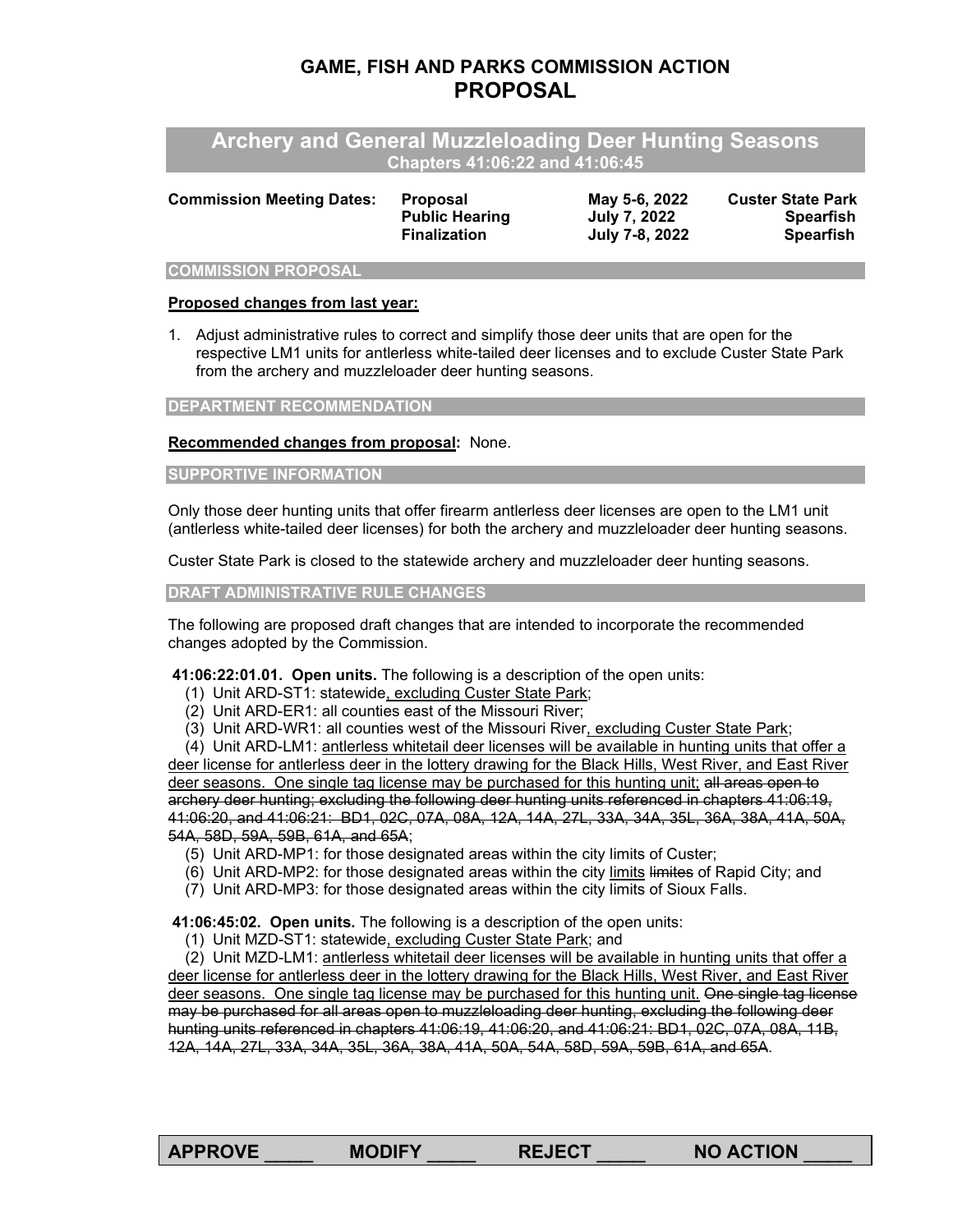# **GAME, FISH AND PARKS COMMISSION ACTION PROPOSAL**

**Archery and General Muzzleloading Deer Hunting Seasons Chapters 41:06:22 and 41:06:45**

| <b>Proposal</b>       | May 5-6, 2022  | <b>Custer State Park</b> |
|-----------------------|----------------|--------------------------|
| <b>Public Hearing</b> | July 7, 2022   | <b>Spearfish</b>         |
| <b>Finalization</b>   | July 7-8, 2022 | Spearfish                |
|                       |                |                          |

#### **COMMISSION PROPOSAL**

### **Proposed changes from last year:**

1. Adjust administrative rules to correct and simplify those deer units that are open for the respective LM1 units for antlerless white-tailed deer licenses and to exclude Custer State Park from the archery and muzzleloader deer hunting seasons.

### **DEPARTMENT RECOMMENDATION**

## **Recommended changes from proposal:** None.

## **SUPPORTIVE INFORMATION**

Only those deer hunting units that offer firearm antlerless deer licenses are open to the LM1 unit (antlerless white-tailed deer licenses) for both the archery and muzzleloader deer hunting seasons.

Custer State Park is closed to the statewide archery and muzzleloader deer hunting seasons.

**DRAFT ADMINISTRATIVE RULE CHANGES**

The following are proposed draft changes that are intended to incorporate the recommended changes adopted by the Commission.

**[41:06:22:01.01.](https://sdlegislature.gov/Rules?Rule=41:06:22:01.01) Open units.** The following is a description of the open units:

- (1) Unit ARD-ST1: statewide, excluding Custer State Park;
- (2) Unit ARD-ER1: all counties east of the Missouri River;
- (3) Unit ARD-WR1: all counties west of the Missouri River, excluding Custer State Park;

 (4) Unit ARD-LM1: antlerless whitetail deer licenses will be available in hunting units that offer a deer license for antlerless deer in the lottery drawing for the Black Hills, West River, and East River deer seasons. One single tag license may be purchased for this hunting unit; all areas open to archery deer hunting; excluding the following deer hunting units referenced in chapters [41:06:19,](https://sdlegislature.gov/Rules?Rule=41:06:19) [41:06:20,](https://sdlegislature.gov/Rules?Rule=41:06:20) and [41:06:21:](https://sdlegislature.gov/Rules?Rule=41:06:21) BD1, 02C, 07A, 08A, 12A, 14A, 27L, 33A, 34A, 35L, 36A, 38A, 41A, 50A, 54A, 58D, 59A, 59B, 61A, and 65A;

- (5) Unit ARD-MP1: for those designated areas within the city limits of Custer;
- (6) Unit ARD-MP2: for those designated areas within the city limits limites of Rapid City; and
- (7) Unit ARD-MP3: for those designated areas within the city limits of Sioux Falls.

**[41:06:45:02.](https://sdlegislature.gov/Rules?Rule=41:06:45:02) Open units.** The following is a description of the open units:

(1) Unit MZD-ST1: statewide, excluding Custer State Park; and

 (2) Unit MZD-LM1: antlerless whitetail deer licenses will be available in hunting units that offer a deer license for antlerless deer in the lottery drawing for the Black Hills, West River, and East River deer seasons. One single tag license may be purchased for this hunting unit. One single tag license may be purchased for all areas open to muzzleloading deer hunting, excluding the following deer hunting units referenced in chapters [41:06:19,](https://sdlegislature.gov/Rules?Rule=41:06:19) [41:06:20,](https://sdlegislature.gov/Rules?Rule=41:06:20) and [41:06:21:](https://sdlegislature.gov/Rules?Rule=41:06:21) BD1, 02C, 07A, 08A, 11B, 12A, 14A, 27L, 33A, 34A, 35L, 36A, 38A, 41A, 50A, 54A, 58D, 59A, 59B, 61A, and 65A.